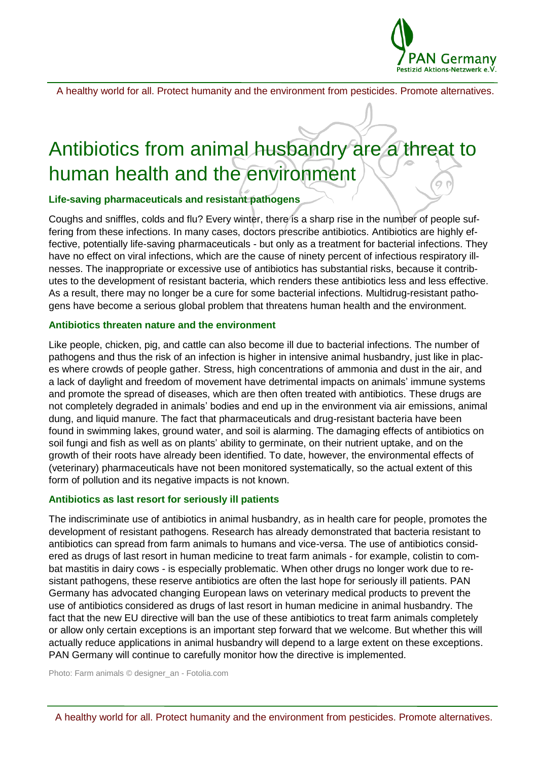

A healthy world for all. Protect humanity and the environment from pesticides. Promote alternatives.

# Antibiotics from animal husbandry are a threat to human health and the environment

#### **Life-saving pharmaceuticals and resistant pathogens**

Coughs and sniffles, colds and flu? Every winter, there is a sharp rise in the number of people suffering from these infections. In many cases, doctors prescribe antibiotics. Antibiotics are highly effective, potentially life-saving pharmaceuticals - but only as a treatment for bacterial infections. They have no effect on viral infections, which are the cause of ninety percent of infectious respiratory illnesses. The inappropriate or excessive use of antibiotics has substantial risks, because it contributes to the development of resistant bacteria, which renders these antibiotics less and less effective. As a result, there may no longer be a cure for some bacterial infections. Multidrug-resistant pathogens have become a serious global problem that threatens human health and the environment.

#### **Antibiotics threaten nature and the environment**

Like people, chicken, pig, and cattle can also become ill due to bacterial infections. The number of pathogens and thus the risk of an infection is higher in intensive animal husbandry, just like in places where crowds of people gather. Stress, high concentrations of ammonia and dust in the air, and a lack of daylight and freedom of movement have detrimental impacts on animals' immune systems and promote the spread of diseases, which are then often treated with antibiotics. These drugs are not completely degraded in animals' bodies and end up in the environment via air emissions, animal dung, and liquid manure. The fact that pharmaceuticals and drug-resistant bacteria have been found in swimming lakes, ground water, and soil is alarming. The damaging effects of antibiotics on soil fungi and fish as well as on plants' ability to germinate, on their nutrient uptake, and on the growth of their roots have already been identified. To date, however, the environmental effects of (veterinary) pharmaceuticals have not been monitored systematically, so the actual extent of this form of pollution and its negative impacts is not known.

#### **Antibiotics as last resort for seriously ill patients**

The indiscriminate use of antibiotics in animal husbandry, as in health care for people, promotes the development of resistant pathogens. Research has already demonstrated that bacteria resistant to antibiotics can spread from farm animals to humans and vice-versa. The use of antibiotics considered as drugs of last resort in human medicine to treat farm animals - for example, colistin to combat mastitis in dairy cows - is especially problematic. When other drugs no longer work due to resistant pathogens, these reserve antibiotics are often the last hope for seriously ill patients. PAN Germany has advocated changing European laws on veterinary medical products to prevent the use of antibiotics considered as drugs of last resort in human medicine in animal husbandry. The fact that the new EU directive will ban the use of these antibiotics to treat farm animals completely or allow only certain exceptions is an important step forward that we welcome. But whether this will actually reduce applications in animal husbandry will depend to a large extent on these exceptions. PAN Germany will continue to carefully monitor how the directive is implemented.

Photo: Farm animals © designer\_an - Fotolia.com